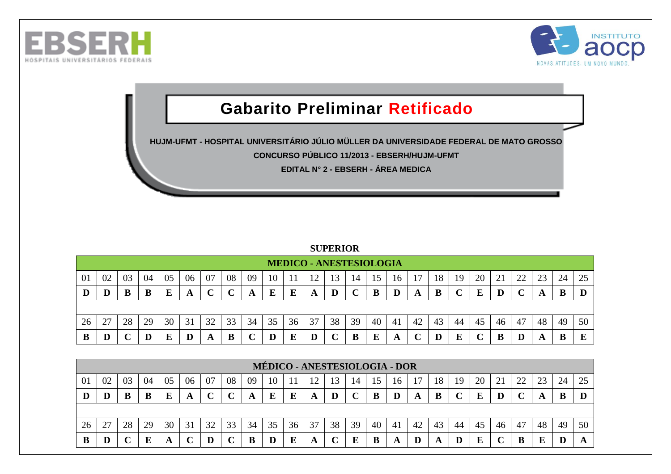



## **Gabarito Preliminar Retificado**

**HUJM-UFMT - HOSPITAL UNIVERSITÁRIO JÚLIO MÜLLER DA UNIVERSIDADE FEDERAL DE MATO GROSSO CONCURSO PÚBLICO 11/2013 - EBSERH/HUJM-UFMT**

**EDITAL N° 2 - EBSERH - ÁREA MEDICA**

## **SUPERIOR**

|    |    |    |    |    |    |    |    |    |    |    | <b>MEDICO - ANESTESIOLOGIA</b> |    |            |    |     |    |    |    |    |    |    |    |    |    |
|----|----|----|----|----|----|----|----|----|----|----|--------------------------------|----|------------|----|-----|----|----|----|----|----|----|----|----|----|
| 01 | 02 | 03 | 04 | 05 | 06 | 07 | 08 | 09 | 10 |    | ി                              | 13 | 14         |    | 16  |    | 18 | 19 | 20 |    | 22 |    | 24 | 25 |
| D  | D  | B  | B  | E  | A  |    |    | A  | E  | Е  | A                              |    | $\sqrt{ }$ |    | D   | A  | B  |    | E  |    |    | A  |    |    |
|    |    |    |    |    |    |    |    |    |    |    |                                |    |            |    |     |    |    |    |    |    |    |    |    |    |
| 26 | 27 | 28 | 29 | 30 | 31 | 32 | 33 | 34 | 35 | 36 | 37                             | 38 | 39         | 40 | -41 | 42 | 43 | 44 | 45 | 46 | 47 | 48 | 49 | 50 |
| B  | D  |    |    |    |    |    |    |    |    |    |                                |    |            |    | A   |    |    |    |    |    |    | A  |    |    |

|    |    |    |    |    |    |    |    |    |    |          | <b>MÉDICO - ANESTESIOLOGIA - DOR</b> |    |    |    |     |    |     |    |    |    |    |    |    |    |
|----|----|----|----|----|----|----|----|----|----|----------|--------------------------------------|----|----|----|-----|----|-----|----|----|----|----|----|----|----|
| 01 | 02 | 03 | 04 | 05 | 06 | 07 | 08 | 09 | 10 |          | $\mathbin{\circ}$                    | 13 | 14 | 15 | 16  |    | 18  | 19 | 20 |    | 22 | ററ | 24 |    |
|    |    | B  | B  |    | A  |    |    | A  | E  | $\bf{E}$ | A                                    |    |    |    | D   |    | B   |    | E  |    |    |    |    |    |
|    |    |    |    |    |    |    |    |    |    |          |                                      |    |    |    |     |    |     |    |    |    |    |    |    |    |
| 26 | 27 | 28 | 29 | 30 | 31 | 32 | 33 | 34 | 35 | 36       | 37                                   | 38 | 39 | 40 | -41 | 42 | 43  | 44 | 45 | 46 | 47 | 48 | 49 | 50 |
| B  | D  |    | ю  |    |    |    |    |    |    |          | A                                    |    | E  |    | A   |    | ГX. |    | E  |    | B  |    |    |    |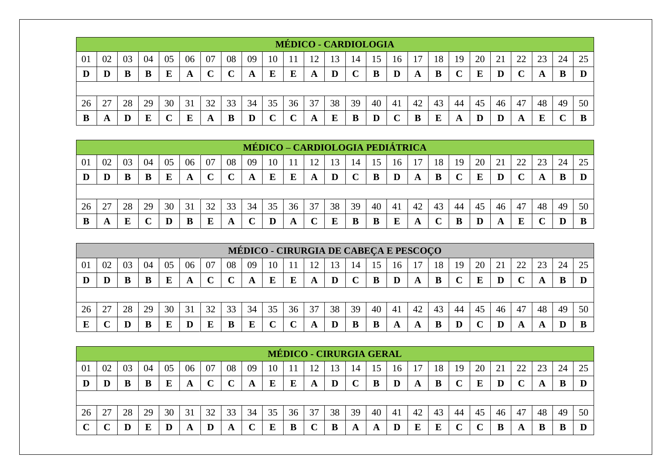|    |    |    |    |    |    |    |        |    |        |    | <b>MÉDICO - CARDIOLOGIA</b> |    |    |    |    |    |    |    |    |    |        |    |    |    |
|----|----|----|----|----|----|----|--------|----|--------|----|-----------------------------|----|----|----|----|----|----|----|----|----|--------|----|----|----|
| 01 | 02 | 03 | 04 | 05 | 06 | 07 | 08     | 09 | 10     |    |                             | 13 | 14 |    | 16 |    | 18 | 19 | 20 |    | 22     | 23 | 24 | 25 |
| D  |    |    |    |    | A  |    | $\sim$ | A  | E      | E  | A                           | D  |    |    | D  | A  | B  |    | E  | D  | $\sim$ | A  | B  |    |
|    |    |    |    |    |    |    |        |    |        |    |                             |    |    |    |    |    |    |    |    |    |        |    |    |    |
| 26 |    | 28 | 29 | 30 | 31 | 32 | 33     | 34 | 35     | 36 | 37                          | 38 | 39 | 40 | 41 | 42 | 43 | 44 | 45 | 46 | 47     | 48 | 49 | 50 |
|    | A  |    | E  |    | E  | A  | B      |    | $\sim$ |    | A                           | Е  | B  |    |    |    | E  | A  | D  |    | A      | F  |    |    |

|    |    |    |    |    |    |    |    | MÉDICO – CARDIOLOGIA PEDIÁTRICA |    |    |    |    |    |    |    |    |    |    |    |    |    |    |    |    |
|----|----|----|----|----|----|----|----|---------------------------------|----|----|----|----|----|----|----|----|----|----|----|----|----|----|----|----|
| 01 | 02 | 03 | 04 | 05 | 06 | 07 | 08 | 09                              | 10 |    | 12 |    | 14 | د، | 16 | 7  | 18 | 19 | 20 |    |    | 23 | 24 | 25 |
| D  | D  | В  | B  | Е  | A  |    |    | A                               | E  |    | A  | D  |    |    | D  |    | B  |    | E  |    |    | A  |    |    |
|    |    |    |    |    |    |    |    |                                 |    |    |    |    |    |    |    |    |    |    |    |    |    |    |    |    |
| 26 | 27 | 28 | 29 | 30 | 31 | 32 | 33 | 34                              | 35 | 36 | 37 | 38 | 39 | 40 | 41 | 42 | 43 | 44 | 45 | 46 | 47 | 48 | 49 | 50 |
| В  | A  | E  |    | D  | B  | Е  | A  |                                 |    | A  |    |    | B  |    | E  |    |    |    | D  |    | E  |    |    |    |

|                |    |    |    |    |    |    |    |    |    |    |    |    |    |    |    | MÉDICO - CIRURGIA DE CABEÇA E PESCOÇO |    |    |    |    |    |    |    |    |
|----------------|----|----|----|----|----|----|----|----|----|----|----|----|----|----|----|---------------------------------------|----|----|----|----|----|----|----|----|
| 0 <sup>1</sup> | 02 | 03 | 04 | 05 | 06 | 07 | 08 | 09 | 10 |    |    | 13 | 14 | 15 | 16 |                                       | 18 | 19 | 20 |    | 22 | 23 | 24 | 25 |
| D              |    |    |    |    |    |    |    |    |    |    | A  |    |    | В  |    |                                       | B  |    | E  |    |    |    |    |    |
|                |    |    |    |    |    |    |    |    |    |    |    |    |    |    |    |                                       |    |    |    |    |    |    |    |    |
| 26             | 27 | 28 | 29 | 30 | 31 | 32 | 33 | 34 | 35 | 36 | 37 | 38 | 39 | 40 | 41 | 42                                    | 43 | 44 | 45 | 46 | 47 | 48 | 49 | 50 |
|                |    |    |    |    |    |    |    |    |    |    |    |    |    |    |    |                                       |    |    |    |    | A  |    |    |    |

|    |    |    |    |    |    |    |    |    |    |    | <b>MÉDICO - CIRURGIA GERAL</b> |    |             |    |    |    |    |    |    |    |              |    |    |    |
|----|----|----|----|----|----|----|----|----|----|----|--------------------------------|----|-------------|----|----|----|----|----|----|----|--------------|----|----|----|
| 01 | 02 | 03 | 04 | 05 | 06 | 07 | 08 | 09 | 10 |    |                                | 13 | 14          | 15 | 16 |    | 18 | 19 | 20 | 21 | 22           |    | 24 | 25 |
| Ð  | D  |    | В  | Е  | A  |    |    | A  | E  | E  | A                              | D  | $\mathbf C$ | в  | D  | A  | B  |    | E  |    | $\mathbf{r}$ |    | В  |    |
|    |    |    |    |    |    |    |    |    |    |    |                                |    |             |    |    |    |    |    |    |    |              |    |    |    |
| 26 |    | 28 | 29 | 30 | 31 | 32 | 33 | 34 | 35 | 36 | 37                             | 38 | 39          | 40 | 41 | 42 | 43 | 44 | 45 | 46 | 47           | 48 | 49 | 50 |
|    |    |    | Е  |    | A  |    | A  |    | E  |    |                                | в  | A           | A  | D  |    | E  |    |    |    | A            |    | B  |    |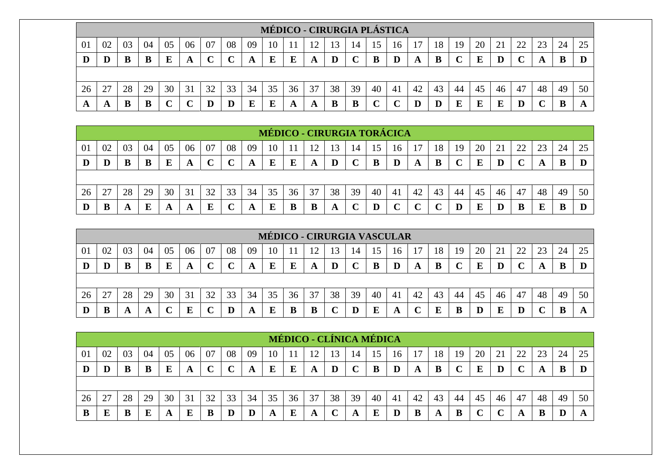|    |               |    |    |    |    |    |        |    |        |    |    | MÉDICO - CIRURGIA PLÁSTICA |    |    |    |    |    |    |    |    |        |    |    |    |
|----|---------------|----|----|----|----|----|--------|----|--------|----|----|----------------------------|----|----|----|----|----|----|----|----|--------|----|----|----|
| 01 | 02            | 03 | 04 | 05 | 06 | 07 | 08     | 09 | 10     |    |    |                            | 14 |    | 16 |    | 18 | 19 | 20 |    | 22     | 23 | 24 | 25 |
| D  |               | В  |    |    |    |    | $\sim$ | A  | E      | E  | A  |                            |    |    |    | A  | В  |    | E  |    | $\sim$ |    | B  |    |
|    |               |    |    |    |    |    |        |    |        |    |    |                            |    |    |    |    |    |    |    |    |        |    |    |    |
| 26 | $\mathcal{L}$ | 28 | 29 | 30 | 31 | 32 | 33     | 34 | 35     | 36 | 37 | 38                         | 39 | 40 | 41 | 42 | 43 | 44 | 45 | 46 | 47     | 48 | 49 | 50 |
| A  | л             | В  |    |    |    |    |        |    | ю<br>Ŀ | A  | A  | B                          | B  |    |    |    |    |    | E  |    | D      |    | В  |    |

|    |    |    |    |    |    |    |    |    |    |    |    |    |    |    | <b>MÉDICO - CIRURGIA TORÁCICA</b> |    |    |    |    |    |    |    |    |    |
|----|----|----|----|----|----|----|----|----|----|----|----|----|----|----|-----------------------------------|----|----|----|----|----|----|----|----|----|
| 01 | 02 | 03 | 04 | 05 | 06 | 07 | 08 | 09 | 10 |    | 12 | 3  | 14 |    | 16                                |    | 18 | 19 | 20 |    | 22 | 23 | 24 | 25 |
| IJ | D  | В  | B  | E  | A  |    |    |    | E  | E  | A  | D  |    |    | $\bf{D}$                          | A  | B  |    | E  |    |    |    |    |    |
|    |    |    |    |    |    |    |    |    |    |    |    |    |    |    |                                   |    |    |    |    |    |    |    |    |    |
| 26 | 27 | 28 | 29 | 30 | 31 | 32 | 33 | 34 | 35 | 36 | 37 | 38 | 39 | 40 | 41                                | 42 | 43 | 44 | 45 | 46 | 47 | 48 | 49 | 50 |
|    | B  | A  | E  | A  | A  |    |    |    |    |    |    | A  |    |    |                                   |    |    |    | E  |    |    |    |    |    |

|    |    |    |    |    |    |    |              |    |    |    |    |    |    |    | <b>MÉDICO - CIRURGIA VASCULAR</b> |    |    |    |    |    |    |    |    |    |
|----|----|----|----|----|----|----|--------------|----|----|----|----|----|----|----|-----------------------------------|----|----|----|----|----|----|----|----|----|
| 01 | 02 | 03 | 04 | 05 | 06 | 07 | 08           | 09 | 10 |    | 12 |    | 14 | 15 | 16                                |    | 18 | 19 | 20 |    | 22 |    | 24 |    |
|    |    | В  |    | E  | A  |    | $\mathbf{C}$ | A  | E  | E  | A  |    |    |    | D                                 | A  | В  |    | E  |    |    |    |    |    |
|    |    |    |    |    |    |    |              |    |    |    |    |    |    |    |                                   |    |    |    |    |    |    |    |    |    |
| 26 | 27 | 28 | 29 | 30 | 31 | 32 | 33           | 34 | 35 | 36 | 37 | 38 | 39 | 40 | 41                                | 42 | 43 | 44 | 45 | 46 | 47 | 48 | 49 | 50 |
|    | B  |    | A  |    | Б  |    | D            | A  | E  |    | B  |    | D  | E  | A                                 |    | E  |    |    |    |    |    |    |    |

|    |    |    |    |    |    |    |    |    |    |    | MÉDICO - CLÍNICA MÉDICA |    |              |    |     |    |    |    |    |    |    |    |    |    |
|----|----|----|----|----|----|----|----|----|----|----|-------------------------|----|--------------|----|-----|----|----|----|----|----|----|----|----|----|
| 01 | 02 | 03 | 04 | 05 | 06 | 07 | 08 | 09 | 10 |    | ാ                       | 13 | 14           | 15 | 16  |    | 18 | 19 | 20 |    | 22 |    | 24 | 25 |
| D  | D  | B  | B  |    |    |    |    | A  | E  | E  | A                       |    | $\mathbf{C}$ |    | D   | A  | B  |    | E  |    |    | A  |    |    |
|    |    |    |    |    |    |    |    |    |    |    |                         |    |              |    |     |    |    |    |    |    |    |    |    |    |
| 26 | 27 | 28 | 29 | 30 | 31 | 32 | 33 | 34 | 35 | 36 | 37                      | 38 | 39           | 40 | -41 | 42 | 43 | 44 | 45 | 46 | 47 | 48 | 49 | 50 |
| B  | E  | B  | E  | A  | E  |    | D  |    | A  | E  | A                       |    | A            | E  |     | В  | A  | B  |    |    | A  |    | D  |    |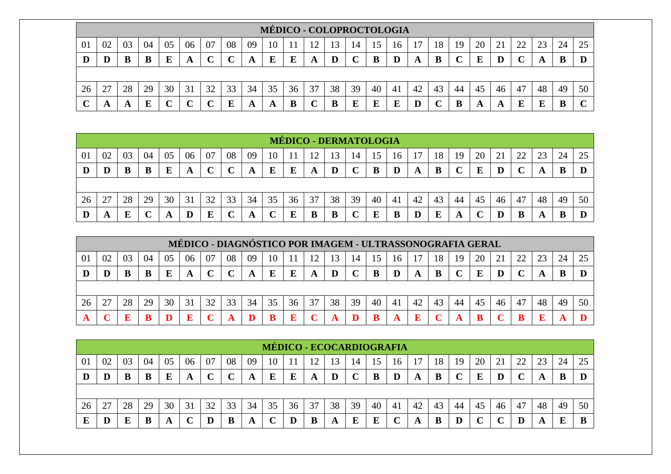|    |    |    |    |    |    |    |          |    |    |    | MÉDICO - COLOPROCTOLOGIA |    |              |                          |    |    |    |    |    |    |    |    |    |    |
|----|----|----|----|----|----|----|----------|----|----|----|--------------------------|----|--------------|--------------------------|----|----|----|----|----|----|----|----|----|----|
| 01 | 02 | 03 | 04 |    | 06 | 07 | 08       | 09 | 10 |    | $\mathbf{1} \mathbf{2}$  | 13 | 14           | $\overline{\mathcal{L}}$ | 16 |    | 18 | 19 | 20 |    | 22 | 23 | 24 | 25 |
|    |    |    | B  |    | A  |    | $\Gamma$ | A  | Е  | E  | A                        |    | $\mathbf{C}$ |                          | D  | A  | B  |    | E  |    |    |    | B  |    |
|    |    |    |    |    |    |    |          |    |    |    |                          |    |              |                          |    |    |    |    |    |    |    |    |    |    |
| 26 |    | 28 | 29 | 30 | 31 | 32 | 33       | 34 | 35 | 36 | 37                       | 38 | 39           | 40                       | 41 | 42 | 43 | 44 | 45 | 46 | 47 | 48 | 49 | 50 |
|    |    |    | E  |    |    |    | E        | A  | A  | B  | ◡                        |    | E            |                          | E  |    |    |    | A  | л  | E  | Ľ  | В  |    |

|    |    |    |    |    |           |    |                         |    |    | <b>MÉDICO - DERMATOLOGIA</b> |    |    |             |    |     |    |    |    |    |    |    |    |    |    |
|----|----|----|----|----|-----------|----|-------------------------|----|----|------------------------------|----|----|-------------|----|-----|----|----|----|----|----|----|----|----|----|
| 01 | 02 | 03 | 04 | 05 | 06        | 07 | 08                      | 09 | 10 |                              |    | 3  | 14          |    | 16  |    | 18 | 19 | 20 | 21 | 22 | 23 | 24 | 25 |
| D  | D  | B  | B  | Ε  | A         | ◡  | $\curvearrowright$<br>╰ | A  | E  | Е                            | A  | D  | $\mathbf C$ |    |     |    | B  |    | E  |    |    |    | B  |    |
|    |    |    |    |    |           |    |                         |    |    |                              |    |    |             |    |     |    |    |    |    |    |    |    |    |    |
| 26 | 27 | 28 | 29 | 30 | 31        | 32 | 33                      | 34 | 35 | 36                           | 37 | 38 | 39          | 40 | -41 | 42 | 43 | 44 | 45 | 46 | 47 | 48 | 49 | 50 |
| D  | A  |    |    |    | ${\bf D}$ | Ε  | ⌒<br>◡                  |    | ◡  | Ε                            |    |    | ֊           |    | B   |    | E  | A  |    |    | B  | A  | υU |    |

|    |    |    |    |    | MÉDICO - DIAGNÓSTICO POR IMAGEM - ULTRASSONOGRAFIA GERAL |    |             |    |    |    |    |    |    |    |    |    |    |    |    |    |              |    |    |    |
|----|----|----|----|----|----------------------------------------------------------|----|-------------|----|----|----|----|----|----|----|----|----|----|----|----|----|--------------|----|----|----|
| 01 | 02 | 03 | 04 | 05 | 06                                                       | 07 | 08          | 09 | 10 |    | 12 | 13 | 14 |    | 16 |    | 18 | 19 | 20 |    | 22           | 23 | 24 |    |
|    |    |    |    |    | A                                                        |    | $\mathbf C$ | A  | E  | E  | A  |    |    | B  |    |    |    |    | E  | D  | $\mathbf{C}$ |    |    |    |
|    |    |    |    |    |                                                          |    |             |    |    |    |    |    |    |    |    |    |    |    |    |    |              |    |    |    |
| 26 | 27 | 28 | 29 | 30 | 31                                                       | 32 | 33          | 34 | 35 | 36 | 37 | 38 | 39 | 40 | 41 | 42 | 43 | 44 | 45 | 46 | 47           | 48 | 49 | 50 |
|    |    |    |    |    |                                                          |    |             |    |    |    |    |    |    |    |    |    |    |    |    |    |              |    |    |    |

|    |    |    |    |    |    |    |             |    |    |    |    |    |              |    | MÉDICO - ECOCARDIOGRAFIA |    |    |    |    |    |        |    |    |    |
|----|----|----|----|----|----|----|-------------|----|----|----|----|----|--------------|----|--------------------------|----|----|----|----|----|--------|----|----|----|
| 01 | 02 | 03 | 04 | 05 | 06 | 07 | 08          | 09 | 10 |    |    | 13 | 14           | 15 | 16                       |    | 18 | 19 | 20 | 21 | 22     |    | 24 |    |
| D  |    |    |    |    | A  |    | $\mathbf C$ | A  | E  | E  | A  | D  | $\mathbf{C}$ | в  | D                        | A  | в  |    | E  |    | $\sim$ |    | B  |    |
|    |    |    |    |    |    |    |             |    |    |    |    |    |              |    |                          |    |    |    |    |    |        |    |    |    |
| 26 | 27 | 28 | 29 | 30 | 31 | 32 | 33          | 34 | 35 | 36 | 37 | 38 | 39           | 40 | -41                      | 42 | 43 | 44 | 45 | 46 | 47     | 48 | 49 | 50 |
|    | D  |    |    | A  |    |    | B           | A  |    |    | B  | A  | E            | E  |                          | A  | B  |    |    |    | D      | A  | E  |    |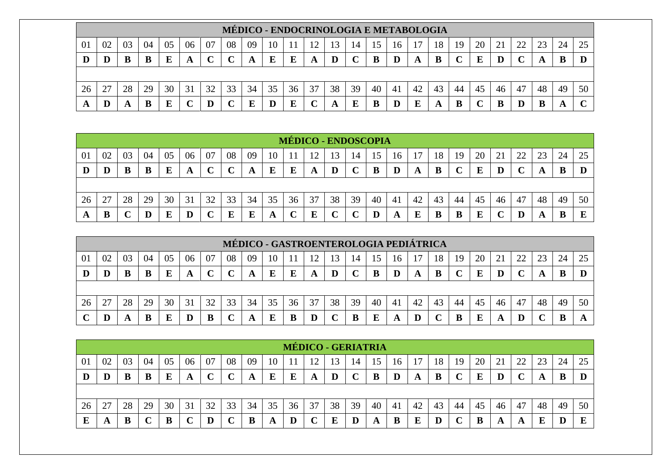|    |    |    |    |    |    |    |    |    |    |    | MÉDICO - ENDOCRINOLOGIA E METABOLOGIA |    |    |    |     |    |    |    |    |    |          |    |    |    |
|----|----|----|----|----|----|----|----|----|----|----|---------------------------------------|----|----|----|-----|----|----|----|----|----|----------|----|----|----|
| 01 | 02 | 03 | 04 | 05 | 06 |    | 08 | 09 | 10 |    |                                       |    | 14 |    | 16  |    | 18 | 19 | 20 | 21 | 22       | 23 | 24 | 25 |
|    |    | В  |    |    | A  |    |    | A  | Е  |    | A                                     | D  |    |    | D   | A  | B  |    | Е  |    | $\Gamma$ |    | B  |    |
|    |    |    |    |    |    |    |    |    |    |    |                                       |    |    |    |     |    |    |    |    |    |          |    |    |    |
| 26 | רר | 28 | 29 | 30 | 31 | 32 | 33 | 34 | 35 | 36 | 37                                    | 38 | 39 | 40 | -41 | 42 | 43 | 44 | 45 | 46 | 47       | 48 | 49 | 50 |
|    |    |    |    |    |    |    |    |    |    |    |                                       |    | E  |    |     |    | A  | B  |    |    | D        |    |    |    |

|    |    |    |    |    |    |    |                         |    |    | MÉDICO - ENDOSCOPIA |    |    |                  |    |                |    |    |    |    |    |    |    |    |    |
|----|----|----|----|----|----|----|-------------------------|----|----|---------------------|----|----|------------------|----|----------------|----|----|----|----|----|----|----|----|----|
| 01 | 02 | 03 | 04 | 05 | 06 | 07 | 08                      | 09 | 10 |                     | ാ  | 3  | 14               |    | 16             |    | 18 | 19 | 20 | 21 | 22 | 23 | 24 | 25 |
| D  | D  | B  | B  | E  | A  | ◡  | $\curvearrowright$<br>◡ | A  | E  | E                   | A  | D  | $\mathbf C$<br>◡ |    |                | A  | B  |    | E  |    |    | A  | B  |    |
|    |    |    |    |    |    |    |                         |    |    |                     |    |    |                  |    |                |    |    |    |    |    |    |    |    |    |
| 26 | 27 | 28 | 29 | 30 | 31 | 32 | 33                      | 34 | 35 | 36                  | 37 | 38 | 39               | 40 | 4 <sub>1</sub> | 42 | 43 | 44 | 45 | 46 | 47 | 48 | 49 | 50 |
| A  | B  |    |    | Ε  |    |    | Е                       | E  | A  |                     | E  |    |                  |    | A              | E  |    | B  | E  |    |    | A  | B  | г  |

|    |    |    |    |    |    |    |    |    |    |    |    |    |    |    |    | MÉDICO - GASTROENTEROLOGIA PEDIÁTRICA |    |    |    |    |    |    |    |    |
|----|----|----|----|----|----|----|----|----|----|----|----|----|----|----|----|---------------------------------------|----|----|----|----|----|----|----|----|
| 01 | 02 | 03 | 04 | 05 | 06 | 07 | 08 | 09 | 10 |    | 12 | 13 | 14 | 15 | 16 |                                       | 18 | 19 | 20 |    | 22 | 23 | 24 |    |
|    |    |    |    |    | A  |    |    | A  | E  |    | A  | D  |    | B  |    |                                       | B  |    | E  |    |    |    |    |    |
|    |    |    |    |    |    |    |    |    |    |    |    |    |    |    |    |                                       |    |    |    |    |    |    |    |    |
| 26 | דר | 28 | 29 | 30 | 31 | 32 | 33 | 34 | 35 | 36 | 37 | 38 | 39 | 40 | 41 | 42                                    | 43 | 44 | 45 | 46 | 47 | 48 | 49 | 50 |
|    |    |    | B  |    |    |    |    |    |    |    |    |    |    |    | A  |                                       |    |    | E  |    |    |    |    |    |

|    |          |    |    |    |    |    |                   |    |    | <b>MÉDICO - GERIATRIA</b> |    |    |    |    |     |    |    |    |    |                          |    |    |    |    |
|----|----------|----|----|----|----|----|-------------------|----|----|---------------------------|----|----|----|----|-----|----|----|----|----|--------------------------|----|----|----|----|
| 01 | 02       | 03 | 04 | 05 | 06 | 07 | 08                | 09 | 10 |                           | ി  | 13 | 14 | 15 | 16  |    | 18 | 19 | 20 | $\overline{\phantom{a}}$ | 22 |    | 24 | 25 |
| D  | $\bf{D}$ |    | B  |    | A  |    | $\mathbf{C}$<br>ັ | A  | E  | E                         | A  |    |    |    |     | A  | B  |    | E  |                          |    | A  | B  |    |
|    |          |    |    |    |    |    |                   |    |    |                           |    |    |    |    |     |    |    |    |    |                          |    |    |    |    |
| 26 | 27       | 28 | 29 | 30 | 31 | 32 | 33                | 34 | 35 | 36                        | 37 | 38 | 39 | 40 | -41 | 42 | 43 | 44 | 45 | 46                       | 47 | 48 | 49 | 50 |
|    | A        |    |    |    | ັ  |    |                   |    | A  |                           |    |    |    |    |     |    |    |    | B  | A                        | A  |    |    | E  |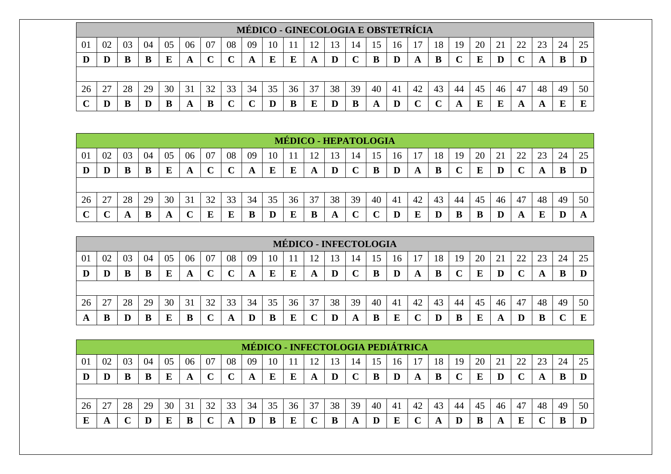|    |                                                                                                                                  |    |    |    |    |    |    |    |         |    |    |    |    |    |    | MÉDICO - GINECOLOGIA E OBSTETRÍCIA |    |    |    |    |    |    |    |    |
|----|----------------------------------------------------------------------------------------------------------------------------------|----|----|----|----|----|----|----|---------|----|----|----|----|----|----|------------------------------------|----|----|----|----|----|----|----|----|
| 01 | 07<br>08<br>20<br>02<br>03<br>22<br>06<br>09<br>18<br>23<br>24<br>25<br>04<br>21<br>05<br>19<br>10<br>ר ו<br>3<br>14<br>15<br>16 |    |    |    |    |    |    |    |         |    |    |    |    |    |    |                                    |    |    |    |    |    |    |    |    |
|    |                                                                                                                                  |    |    | E  | A  |    |    | A  | E       | Ε  | A  |    |    |    | D  |                                    | В  |    | E  |    |    |    | B  |    |
|    |                                                                                                                                  |    |    |    |    |    |    |    |         |    |    |    |    |    |    |                                    |    |    |    |    |    |    |    |    |
| 26 |                                                                                                                                  | 28 | 29 | 30 | 31 | 32 | 33 | 34 | 35      | 36 | 37 | 38 | 39 | 40 | 41 | 42                                 | 43 | 44 | 45 | 46 | 47 | 48 | 49 | 50 |
|    |                                                                                                                                  |    |    |    | A  |    |    |    | $\bf D$ |    | E  |    | B  | A  | D  |                                    |    |    | E  | П  | A  |    | г  |    |

|    |        |    |    |    |    |    |    |    |    |    | <b>MÉDICO - HEPATOLOGIA</b> |    |    |    |    |    |    |    |    |    |    |    |    |    |
|----|--------|----|----|----|----|----|----|----|----|----|-----------------------------|----|----|----|----|----|----|----|----|----|----|----|----|----|
| 01 | 02     | 03 | 04 | 05 | 06 | 07 | 08 | 09 | 10 |    | ി                           | 13 | 14 | ৲  | 16 |    | 18 | 19 | 20 | 21 | 22 |    | 24 | 25 |
| D  | D      | В  | B  | Ε  | A  |    |    | A  | Е  | E  | A                           | D  |    | B  | D  | A  | B  |    | E  |    |    |    | В  |    |
|    |        |    |    |    |    |    |    |    |    |    |                             |    |    |    |    |    |    |    |    |    |    |    |    |    |
| 26 | 27     | 28 | 29 | 30 | 31 | 32 | 33 | 34 | 35 | 36 | 37                          | 38 | 39 | 40 | 41 | 42 | 43 | 44 | 45 | 46 | 47 | 48 | 49 | 50 |
|    | $\sim$ |    | B  |    | ╰  | Е  | E  | В  |    |    |                             | A  |    |    |    | E  | D  | B  | B  |    | A  |    | D  |    |

|    |                                 |    |    |    |        |    |    |    |    |    | <b>MÉDICO - INFECTOLOGIA</b> |    |    |                         |    |    |    |    |    |    |    |    |    |    |
|----|---------------------------------|----|----|----|--------|----|----|----|----|----|------------------------------|----|----|-------------------------|----|----|----|----|----|----|----|----|----|----|
| 01 | 02                              | 03 | 04 | 05 | 06     | 07 | 08 | 09 | 10 |    | ∣າ                           | 13 | 14 | $\overline{\mathbf{a}}$ | 16 |    | 18 | 19 | 20 | ∠⊥ | 22 | 23 | 24 | 25 |
| D  |                                 |    |    |    | A      |    |    | A  |    |    | A                            |    |    | B                       |    |    | B  |    | E  |    |    |    |    |    |
|    |                                 |    |    |    |        |    |    |    |    |    |                              |    |    |                         |    |    |    |    |    |    |    |    |    |    |
| 26 | $\mathcal{L}$<br>$\overline{2}$ | 28 | 29 | 30 | 31     | 32 | 33 | 34 | 35 | 36 | 37                           | 38 | 39 | 40                      | 41 | 42 | 43 | 44 | 45 | 46 | 47 | 48 | 49 | 50 |
|    |                                 |    |    |    | D<br>Đ |    |    |    |    |    |                              |    | A  | B                       | E  |    |    |    | E  |    |    |    |    | E  |

|    |    |    |    |    |             |    |        | <b>MÉDICO - INFECTOLOGIA PEDIÁTRICA</b> |    |    |    |    |    |    |    |    |    |    |    |    |    |    |    |  |
|----|----|----|----|----|-------------|----|--------|-----------------------------------------|----|----|----|----|----|----|----|----|----|----|----|----|----|----|----|--|
| 01 | 02 | 03 | 04 | 05 | 06          | 07 | 08     | 09                                      | 10 |    |    |    | 14 |    | 16 |    | 18 | 19 | 20 |    | 22 |    | 24 |  |
| Ш  | D  |    | B  | E  | $\mathbf A$ |    | $\sim$ | A                                       | E  | E  | A  |    |    |    |    | A  | B  |    | E  |    |    |    |    |  |
|    |    |    |    |    |             |    |        |                                         |    |    |    |    |    |    |    |    |    |    |    |    |    |    |    |  |
| 26 | 27 | 28 | 29 | 30 | 31          | 32 | 33     | 34                                      | 35 | 36 | 37 | 38 | 39 | 40 | 41 | 42 | 43 | 44 | 45 | 46 | 47 | 48 | 49 |  |
|    | A  |    |    |    | B           |    | A      |                                         | в  | Е  |    |    | A  |    | E  |    | A  |    | B  |    | E  |    |    |  |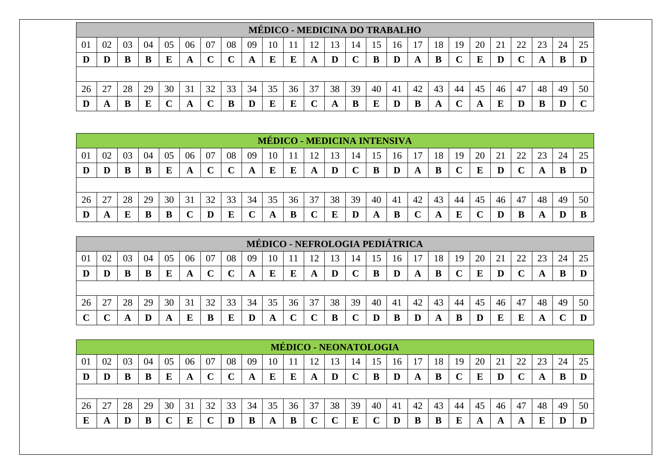|    |                                                                                                                            |    |    |    |                  |    |    |    |    |    | <b>MÉDICO - MEDICINA DO TRABALHO</b> |    |    |    |     |    |    |    |    |    |    |    |    |    |
|----|----------------------------------------------------------------------------------------------------------------------------|----|----|----|------------------|----|----|----|----|----|--------------------------------------|----|----|----|-----|----|----|----|----|----|----|----|----|----|
| 01 | 07<br>08<br>18<br>02<br>03<br>09<br>20<br>22<br>06<br>25<br>05<br>10<br>23<br>04<br>19<br>13<br>24<br>LC<br>14<br>16<br>15 |    |    |    |                  |    |    |    |    |    |                                      |    |    |    |     |    |    |    |    |    |    |    |    |    |
|    |                                                                                                                            |    |    | E  | A                |    |    | A  | E  | Ε  | A                                    |    | ֊  | B  |     |    | B  |    | F  |    |    |    | В  |    |
|    |                                                                                                                            |    |    |    |                  |    |    |    |    |    |                                      |    |    |    |     |    |    |    |    |    |    |    |    |    |
| 26 |                                                                                                                            | 28 | 29 | 30 | 31               | 32 | 33 | 34 | 35 | 36 | 37                                   | 38 | 39 | 40 | -41 | 42 | 43 | 44 | 45 | 46 | 47 | 48 | 49 | 50 |
|    |                                                                                                                            |    |    |    | $\boldsymbol{A}$ |    |    |    | E  |    |                                      |    |    | E  |     |    | A  |    | A  |    |    | В  |    |    |

|    |    |    |    |    |    |    |    |    |    |    | <b>MÉDICO - MEDICINA INTENSIVA</b> |    |    |    |    |    |    |    |    |    |    |    |    |    |
|----|----|----|----|----|----|----|----|----|----|----|------------------------------------|----|----|----|----|----|----|----|----|----|----|----|----|----|
| 01 | 02 | 03 | 04 | 05 | 06 | 07 | 08 | 09 | 10 |    | 12                                 | 13 | 14 | 15 | 16 |    | 18 | 19 | 20 |    | 22 | 23 | 24 | 25 |
| D  | D  | B  | B  | Ε  | A  |    |    |    | Е  | E  | A                                  | D  |    | B  | D  | A  | B  |    | E  |    |    |    | B  |    |
|    |    |    |    |    |    |    |    |    |    |    |                                    |    |    |    |    |    |    |    |    |    |    |    |    |    |
| 26 | 27 | 28 | 29 | 30 | 31 | 32 | 33 | 34 | 35 | 36 | 37                                 | 38 | 39 | 40 | 41 | 42 | 43 | 44 | 45 | 46 | 47 | 48 | 49 | 50 |
| D  | A  | E  | B  | B  | ╰  |    | E  |    |    | D  |                                    |    | D  |    | B  |    | A  | Е  |    |    | B  |    | D  |    |

|    |    |    |    |    |    |    |    |    |    |    | MÉDICO - NEFROLOGIA PEDIÁTRICA |    |    |    |    |    |    |    |    |    |    |    |    |    |
|----|----|----|----|----|----|----|----|----|----|----|--------------------------------|----|----|----|----|----|----|----|----|----|----|----|----|----|
| 01 | 02 | 03 | 04 | 05 | 06 | 07 | 08 | 09 | 10 |    | 12                             | 13 | 14 | 15 | 16 |    | 18 | 19 | 20 |    | 22 | 23 | 24 | 25 |
| D  |    |    |    |    | A  |    | ັ  | A  |    |    | A                              |    |    | B  |    |    | B  |    | E  |    |    |    |    |    |
|    |    |    |    |    |    |    |    |    |    |    |                                |    |    |    |    |    |    |    |    |    |    |    |    |    |
| 26 | 27 | 28 | 29 | 30 | 31 | 32 | 33 | 34 | 35 | 36 | 37                             | 38 | 39 | 40 | 41 | 42 | 43 | 44 | 45 | 46 | 47 | 48 | 49 | 50 |
|    |    |    | Ш  |    | E  |    | Ľ  |    | A  |    |                                | в  |    |    | B  |    | A  |    | D  | E  | E  | A  |    |    |

|    |    |    |    |    |    |    |        |    |    |    | <b>MÉDICO - NEONATOLOGIA</b> |    |    |    |    |    |    |    |    |    |        |    |    |    |
|----|----|----|----|----|----|----|--------|----|----|----|------------------------------|----|----|----|----|----|----|----|----|----|--------|----|----|----|
| 01 | 02 | 03 | 04 | 05 | 06 | 07 | 08     | 09 | 10 |    |                              | 13 | 14 |    | 16 |    | 18 | 19 | 20 | 21 | 22     |    | 24 | 25 |
| D  | D  |    | В  | E  | A  |    | $\sim$ | A  | E  | E  | A                            | D  |    |    |    | A  | B  |    | E  |    | $\sim$ |    | B  |    |
|    |    |    |    |    |    |    |        |    |    |    |                              |    |    |    |    |    |    |    |    |    |        |    |    |    |
| 26 | 27 | 28 | 29 | 30 | 31 | 30 | 33     | 34 | 35 | 36 | 37                           | 38 | 39 | 40 | 41 | 42 | 43 | 44 | 45 | 46 | 47     | 48 | 49 | 50 |
|    | A  |    | в  |    | E  |    |        |    | A  | В  |                              |    | E  |    |    |    | B  |    | A  | A  | A      |    |    |    |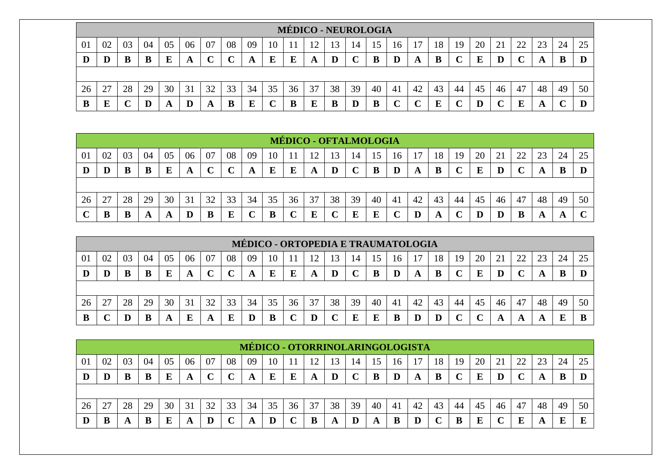|    |                                                                                                                                  |    |    |    |    |    |    |    |    |    | <b>MÉDICO - NEUROLOGIA</b> |    |    |    |    |     |    |    |    |    |    |    |    |    |
|----|----------------------------------------------------------------------------------------------------------------------------------|----|----|----|----|----|----|----|----|----|----------------------------|----|----|----|----|-----|----|----|----|----|----|----|----|----|
| 01 | 04<br>06<br>08<br>20<br>02<br>05<br>07<br>09<br>22<br>25<br>03<br>10<br>18<br>23<br>24<br>19<br>21<br>16<br>12<br>13<br>14<br>15 |    |    |    |    |    |    |    |    |    |                            |    |    |    |    |     |    |    |    |    |    |    |    |    |
|    | D                                                                                                                                |    | B  |    | A  |    |    | A  | E  | E  | A                          |    |    |    |    | A   | B  |    | E  |    |    |    | B  |    |
|    |                                                                                                                                  |    |    |    |    |    |    |    |    |    |                            |    |    |    |    |     |    |    |    |    |    |    |    |    |
| 26 | 27                                                                                                                               | 28 | 29 | 30 | 31 | 32 | 33 | 34 | 35 | 36 | 37                         | 38 | 39 | 40 | 41 | -42 | 43 | 44 | 45 | 46 | 47 | 48 | 49 | 50 |
|    | E                                                                                                                                |    | D  | A  | D  | A  | B  | Е  | ╰  |    | E                          | B  |    | B  |    |     | F  |    |    |    | E  |    |    |    |

|    |    |    |    |    |           |    |                         |    |    | <b>MÉDICO - OFTALMOLOGIA</b> |     |    |                  |    |                |    |    |    |    |    |    |    |    |        |
|----|----|----|----|----|-----------|----|-------------------------|----|----|------------------------------|-----|----|------------------|----|----------------|----|----|----|----|----|----|----|----|--------|
| 01 | 02 | 03 | 04 | 05 | 06        | 07 | 08                      | 09 | 10 |                              | ר ו | 3  | 14               |    | 16             |    | 18 | 19 | 20 | 21 | 22 | 23 | 24 | 25     |
| D  | D  | B  | B  | Ε  | A         | ◡  | $\curvearrowright$<br>◡ | A  | E  | E                            | A   | D  | $\mathbf C$<br>◡ |    |                | A  | B  |    | E  |    |    | A  | B  |        |
|    |    |    |    |    |           |    |                         |    |    |                              |     |    |                  |    |                |    |    |    |    |    |    |    |    |        |
| 26 | 27 | 28 | 29 | 30 | 31        | 32 | 33                      | 34 | 35 | 36                           | 37  | 38 | 39               | 40 | 4 <sub>1</sub> | 42 | 43 | 44 | 45 | 46 | 47 | 48 | 49 | 50     |
|    |    |    | A  |    | ${\bf D}$ | B  | E                       |    | B  |                              | E   |    | E                |    |                |    | A  |    | D  |    | B  | A  | A  | $\sim$ |

|    |        |    |    |    |    |    |    |    |    |    |    |    |    |    |    | MÉDICO - ORTOPEDIA E TRAUMATOLOGIA |    |    |    |    |    |    |    |    |
|----|--------|----|----|----|----|----|----|----|----|----|----|----|----|----|----|------------------------------------|----|----|----|----|----|----|----|----|
| 01 | 02     | 03 | 04 | 05 | 06 | 07 | 08 | 09 | 10 |    | 12 | 13 | 14 |    | 16 |                                    | 18 | 19 | 20 |    | 22 | 23 | 24 |    |
|    |        |    |    |    | A  |    |    | A  | E  |    | A  |    |    | в  |    |                                    | B  |    | E  |    |    |    |    |    |
|    |        |    |    |    |    |    |    |    |    |    |    |    |    |    |    |                                    |    |    |    |    |    |    |    |    |
| 26 | $\cap$ | 28 | 29 | 30 | 31 | 32 | 33 | 34 | 35 | 36 | 37 | 38 | 39 | 40 | 41 | 42                                 | 43 | 44 | 45 | 46 | 47 | 48 | 49 | 50 |
|    |        |    |    |    |    |    |    |    |    |    |    |    |    |    |    |                                    |    |    |    |    | A  |    |    |    |

|    |    |    |    |    |    |    |    |    |    |    |    |    |    |    |    | MÉDICO - OTORRINOLARINGOLOGISTA |    |    |    |    |    |    |    |    |
|----|----|----|----|----|----|----|----|----|----|----|----|----|----|----|----|---------------------------------|----|----|----|----|----|----|----|----|
| 01 | 02 | 03 | 04 | 05 | 06 | 07 | 08 | 09 | 10 |    |    | 3  | 14 |    | 16 |                                 | 18 | 19 | 20 | 21 | 22 | ົ  | 24 | 25 |
| IJ | D  |    |    |    | A  |    |    |    | E  | E  | A  |    |    |    |    | A                               | B  |    | г  |    |    |    |    |    |
|    |    |    |    |    |    |    |    |    |    |    |    |    |    |    |    |                                 |    |    |    |    |    |    |    |    |
| 26 |    | 28 | 29 | 30 | 31 | 32 | 33 | 34 | 35 | 36 | 37 | 38 | 39 | 40 | 41 | 42                              | 43 | 44 | 45 | 46 | 47 | 48 | 49 | 50 |
|    |    |    |    |    | A  |    |    |    | D  |    | в  | A  | D  | A  | B  |                                 |    |    | E  |    | E  | Ð  | ш  |    |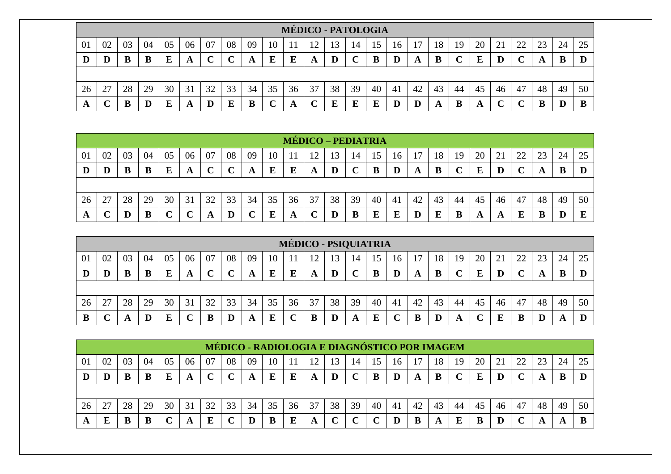|    |                                                                                                                                  |    |    |    |    |    |    |    |    | <b>MÉDICO - PATOLOGIA</b> |    |          |    |    |    |    |    |     |    |    |    |    |    |    |
|----|----------------------------------------------------------------------------------------------------------------------------------|----|----|----|----|----|----|----|----|---------------------------|----|----------|----|----|----|----|----|-----|----|----|----|----|----|----|
| 01 | 04<br>05<br>06<br>08<br>20<br>02<br>07<br>09<br>22<br>25<br>10<br>18<br>21<br>23<br>24<br>03<br>19<br>16<br>12<br>13<br>14<br>15 |    |    |    |    |    |    |    |    |                           |    |          |    |    |    |    |    |     |    |    |    |    |    |    |
|    | D                                                                                                                                |    | B  |    | A  |    |    | A  | E  | E                         | A  | $\bf{D}$ |    |    |    | A  | B  |     | E  |    |    |    | B  |    |
|    |                                                                                                                                  |    |    |    |    |    |    |    |    |                           |    |          |    |    |    |    |    |     |    |    |    |    |    |    |
| 26 | 27                                                                                                                               | 28 | 29 | 30 | 31 | 32 | 33 | 34 | 35 | 36                        | 37 | 38       | 39 | 40 | 41 | 42 | 43 | 44  | 45 | 46 | 47 | 48 | 49 | 50 |
| A  |                                                                                                                                  | B  | D  |    | A  | D  | E  | B  |    |                           |    | E        | E  | Е  |    |    | A  | . . | A  |    |    | В  |    |    |

|    |    |    |    |    |    |    |    |    |    |    | MÉDICO – PEDIATRIA |    |    |    |    |    |    |    |    |    |    |    |    |    |
|----|----|----|----|----|----|----|----|----|----|----|--------------------|----|----|----|----|----|----|----|----|----|----|----|----|----|
| 01 | 02 | 03 | 04 | 05 | 06 | 07 | 08 | 09 | 10 |    | 10                 | 13 | 14 | 15 | 16 |    | 18 | 19 | 20 |    | 22 | 23 | 24 | 25 |
| D  | D  | B  | B  | Е  | A  |    | ◡  | A  | E  | E  | A                  | D  |    | B  | D  | A  | B  |    | E  |    |    | A  | B  |    |
|    |    |    |    |    |    |    |    |    |    |    |                    |    |    |    |    |    |    |    |    |    |    |    |    |    |
| 26 | 27 | 28 | 29 | 30 | 31 | 32 | 33 | 34 | 35 | 36 | 37                 | 38 | 39 | 40 | 41 | 42 | 43 | 44 | 45 | 46 | 47 | 48 | 49 | 50 |
| A  |    | D  | B  |    |    | A  | D  |    | E  | A  |                    |    | B  | Е  |    | D  | E  | B  | A  |    | E  | B  |    | E  |

|    |                                 |    |    |    |    |    |    |    |    |    | MÉDICO - PSIQUIATRIA |    |    |    |    |    |    |    |    |                          |                |              |    |    |
|----|---------------------------------|----|----|----|----|----|----|----|----|----|----------------------|----|----|----|----|----|----|----|----|--------------------------|----------------|--------------|----|----|
| 01 | 02                              | 03 | 04 | 05 | 06 | 07 | 08 | 09 | 10 |    | 12                   | 3  | 14 |    | 16 |    | 18 | 19 | 20 | $\overline{\phantom{a}}$ | $\gamma\gamma$ | $\cap$<br>23 | 24 | 25 |
| D  |                                 |    |    |    | A  |    |    |    | E  | Ľ  | A                    |    | ◡  |    |    |    | B  |    | E  |                          |                |              | B  | D  |
|    |                                 |    |    |    |    |    |    |    |    |    |                      |    |    |    |    |    |    |    |    |                          |                |              |    |    |
| 26 | $\mathcal{L}$<br>$\overline{2}$ | 28 | 29 | 30 | 31 | 32 | 33 | 34 | 35 | 36 | 37                   | 38 | 39 | 40 | 41 | 42 | 43 | 44 | 45 | 46                       | 47             | 48           | 49 | 50 |
| D  |                                 |    |    |    | ັ  |    |    |    | ┳  |    |                      |    | A  |    |    |    |    |    |    |                          | B              |              | A  |    |

|    |    |    |    |    |    |    |        | MÉDICO - RADIOLOGIA E DIAGNÓSTICO POR IMAGEM |    |    |    |    |             |    |    |    |    |    |    |    |    |    |    |    |
|----|----|----|----|----|----|----|--------|----------------------------------------------|----|----|----|----|-------------|----|----|----|----|----|----|----|----|----|----|----|
| 01 | 02 | 03 | 04 | 05 | 06 | 07 | 08     | 09                                           | 10 |    | 12 |    | 14          |    | 16 |    | 18 | 19 | 20 |    | 22 | 23 | 24 |    |
|    |    |    |    |    | A  |    | $\sim$ |                                              | E  | E  | A  |    | $\mathbf C$ | B  | D  |    |    |    | E  |    |    |    | B  |    |
|    |    |    |    |    |    |    |        |                                              |    |    |    |    |             |    |    |    |    |    |    |    |    |    |    |    |
| 26 |    | 28 | 29 | 30 | 31 | 32 | 33     | 34                                           | 35 | 36 | 37 | 38 | 39          | 40 | 41 | 42 | 43 | 44 | 45 | 46 | 47 | 48 | 49 | 50 |
|    | E  |    |    |    | A  | E  |        |                                              |    | Е  | A  |    |             |    |    |    | A  | г  |    |    |    |    | A  |    |